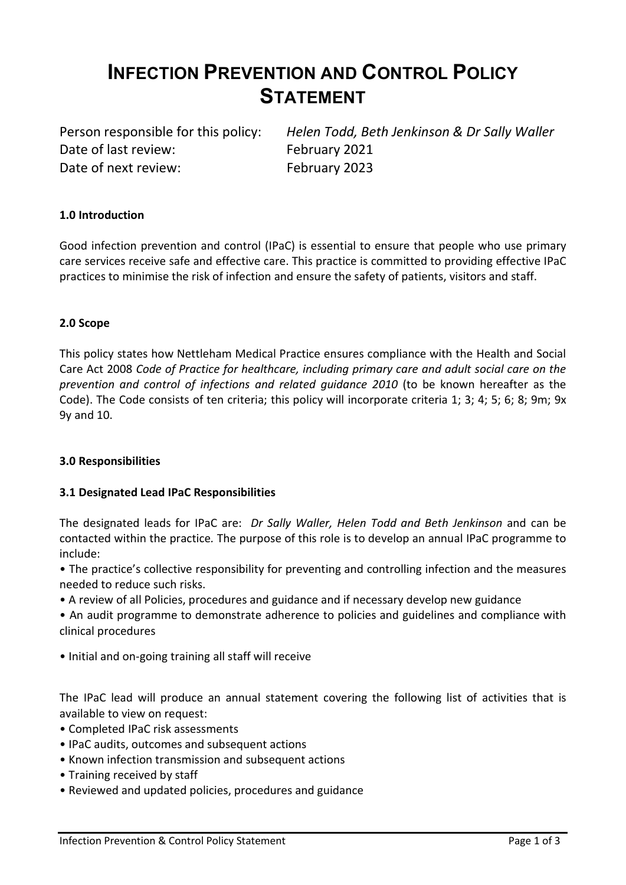# INFECTION PREVENTION AND CONTROL POLICY **STATEMENT**

Date of last review: February 2021 Date of next review: February 2023

Person responsible for this policy: Helen Todd, Beth Jenkinson & Dr Sally Waller

## 1.0 Introduction

Good infection prevention and control (IPaC) is essential to ensure that people who use primary care services receive safe and effective care. This practice is committed to providing effective IPaC practices to minimise the risk of infection and ensure the safety of patients, visitors and staff.

## 2.0 Scope

This policy states how Nettleham Medical Practice ensures compliance with the Health and Social Care Act 2008 Code of Practice for healthcare, including primary care and adult social care on the prevention and control of infections and related guidance 2010 (to be known hereafter as the Code). The Code consists of ten criteria; this policy will incorporate criteria 1; 3; 4; 5; 6; 8; 9m; 9x 9y and 10.

## 3.0 Responsibilities

## 3.1 Designated Lead IPaC Responsibilities

The designated leads for IPaC are: Dr Sally Waller, Helen Todd and Beth Jenkinson and can be contacted within the practice. The purpose of this role is to develop an annual IPaC programme to include:

• The practice's collective responsibility for preventing and controlling infection and the measures needed to reduce such risks.

• A review of all Policies, procedures and guidance and if necessary develop new guidance

• An audit programme to demonstrate adherence to policies and guidelines and compliance with clinical procedures

• Initial and on-going training all staff will receive

The IPaC lead will produce an annual statement covering the following list of activities that is available to view on request:

- Completed IPaC risk assessments
- IPaC audits, outcomes and subsequent actions
- Known infection transmission and subsequent actions
- Training received by staff
- Reviewed and updated policies, procedures and guidance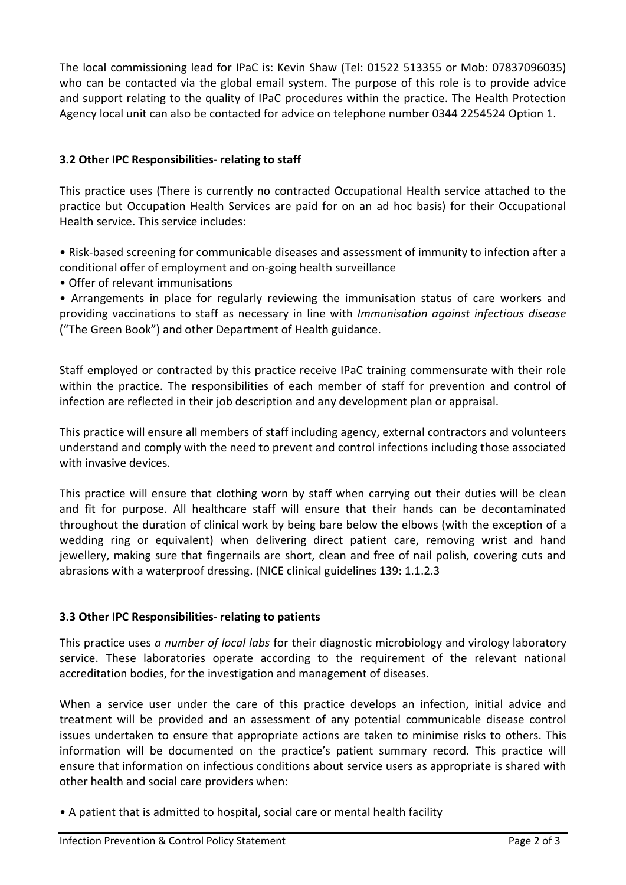The local commissioning lead for IPaC is: Kevin Shaw (Tel: 01522 513355 or Mob: 07837096035) who can be contacted via the global email system. The purpose of this role is to provide advice and support relating to the quality of IPaC procedures within the practice. The Health Protection Agency local unit can also be contacted for advice on telephone number 0344 2254524 Option 1.

## 3.2 Other IPC Responsibilities- relating to staff

This practice uses (There is currently no contracted Occupational Health service attached to the practice but Occupation Health Services are paid for on an ad hoc basis) for their Occupational Health service. This service includes:

• Risk-based screening for communicable diseases and assessment of immunity to infection after a conditional offer of employment and on-going health surveillance

• Offer of relevant immunisations

• Arrangements in place for regularly reviewing the immunisation status of care workers and providing vaccinations to staff as necessary in line with Immunisation against infectious disease ("The Green Book") and other Department of Health guidance.

Staff employed or contracted by this practice receive IPaC training commensurate with their role within the practice. The responsibilities of each member of staff for prevention and control of infection are reflected in their job description and any development plan or appraisal.

This practice will ensure all members of staff including agency, external contractors and volunteers understand and comply with the need to prevent and control infections including those associated with invasive devices.

This practice will ensure that clothing worn by staff when carrying out their duties will be clean and fit for purpose. All healthcare staff will ensure that their hands can be decontaminated throughout the duration of clinical work by being bare below the elbows (with the exception of a wedding ring or equivalent) when delivering direct patient care, removing wrist and hand jewellery, making sure that fingernails are short, clean and free of nail polish, covering cuts and abrasions with a waterproof dressing. (NICE clinical guidelines 139: 1.1.2.3

## 3.3 Other IPC Responsibilities- relating to patients

This practice uses a number of local labs for their diagnostic microbiology and virology laboratory service. These laboratories operate according to the requirement of the relevant national accreditation bodies, for the investigation and management of diseases.

When a service user under the care of this practice develops an infection, initial advice and treatment will be provided and an assessment of any potential communicable disease control issues undertaken to ensure that appropriate actions are taken to minimise risks to others. This information will be documented on the practice's patient summary record. This practice will ensure that information on infectious conditions about service users as appropriate is shared with other health and social care providers when:

• A patient that is admitted to hospital, social care or mental health facility